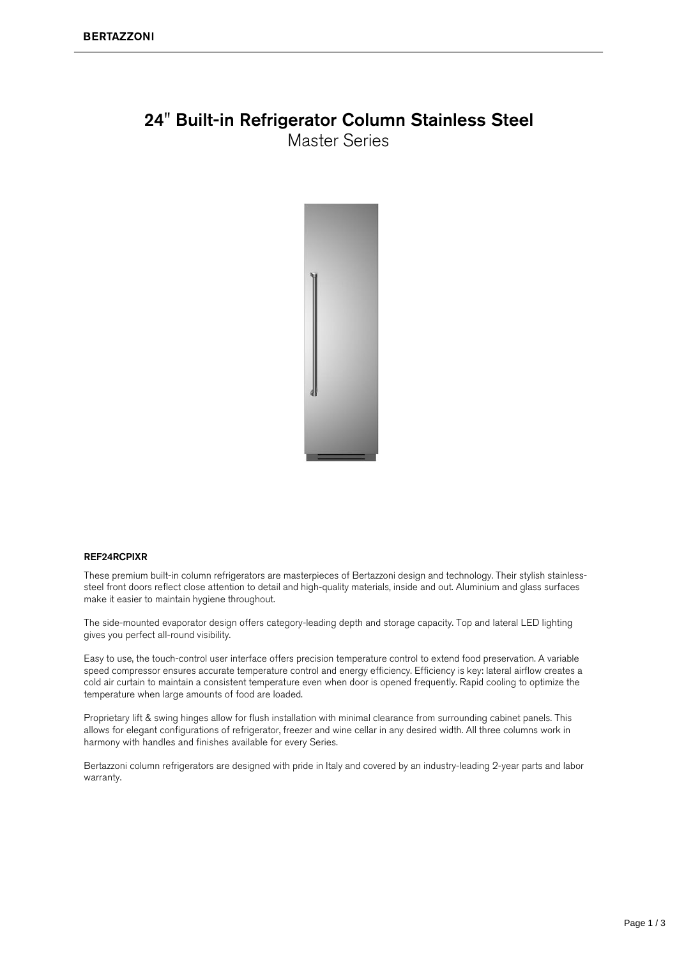### 24" Built-in Refrigerator Column Stainless Steel **Master Series**



#### **REF24RCPIXR**

These premium built-in column refrigerators are masterpieces of Bertazzoni design and technology. Their stylish stainlesssteel front doors reflect close attention to detail and high-quality materials, inside and out. Aluminium and glass surfaces make it easier to maintain hygiene throughout.

The side-mounted evaporator design offers category-leading depth and storage capacity. Top and lateral LED lighting gives you perfect all-round visibility.

Easy to use, the touch-control user interface offers precision temperature control to extend food preservation. A variable speed compressor ensures accurate temperature control and energy efficiency. Efficiency is key: lateral airflow creates a cold air curtain to maintain a consistent temperature even when door is opened frequently. Rapid cooling to optimize the temperature when large amounts of food are loaded.

Proprietary lift & swing hinges allow for flush installation with minimal clearance from surrounding cabinet panels. This allows for elegant configurations of refrigerator, freezer and wine cellar in any desired width. All three columns work in harmony with handles and finishes available for every Series.

Bertazzoni column refrigerators are designed with pride in Italy and covered by an industry-leading 2-year parts and labor warranty.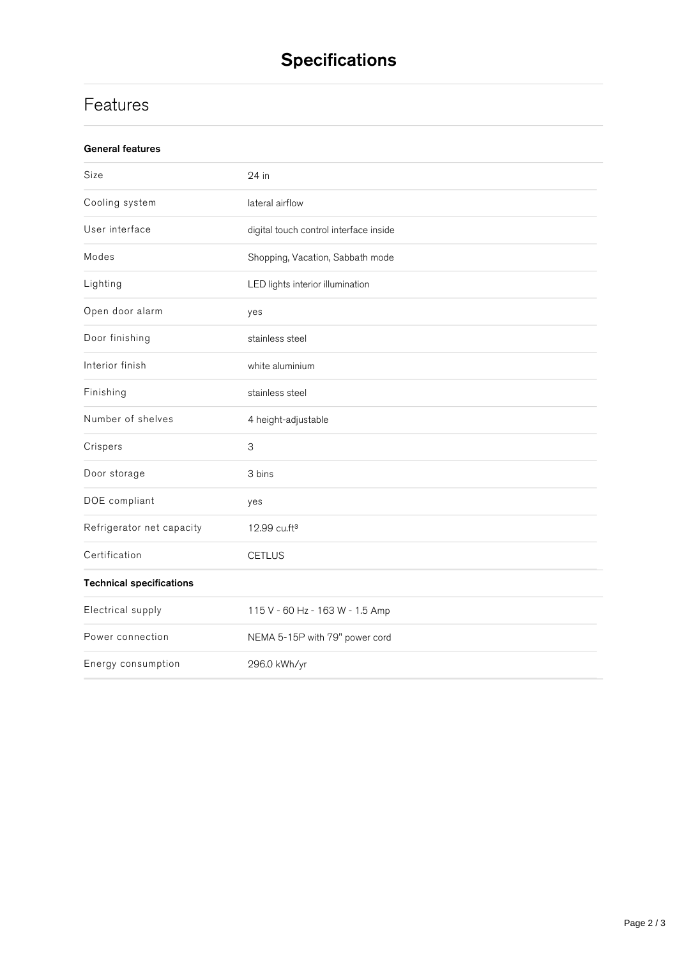# **Specifications**

# Features

| <b>General features</b>         |                                        |
|---------------------------------|----------------------------------------|
| Size                            | 24 in                                  |
| Cooling system                  | lateral airflow                        |
| User interface                  | digital touch control interface inside |
| Modes                           | Shopping, Vacation, Sabbath mode       |
| Lighting                        | LED lights interior illumination       |
| Open door alarm                 | yes                                    |
| Door finishing                  | stainless steel                        |
| Interior finish                 | white aluminium                        |
| Finishing                       | stainless steel                        |
| Number of shelves               | 4 height-adjustable                    |
| Crispers                        | $\ensuremath{\mathsf{3}}$              |
| Door storage                    | 3 bins                                 |
| DOE compliant                   | yes                                    |
| Refrigerator net capacity       | 12.99 cu.ft <sup>3</sup>               |
| Certification                   | <b>CETLUS</b>                          |
| <b>Technical specifications</b> |                                        |
| Electrical supply               | 115 V - 60 Hz - 163 W - 1.5 Amp        |
| Power connection                | NEMA 5-15P with 79" power cord         |
| Energy consumption              | 296.0 kWh/yr                           |
|                                 |                                        |